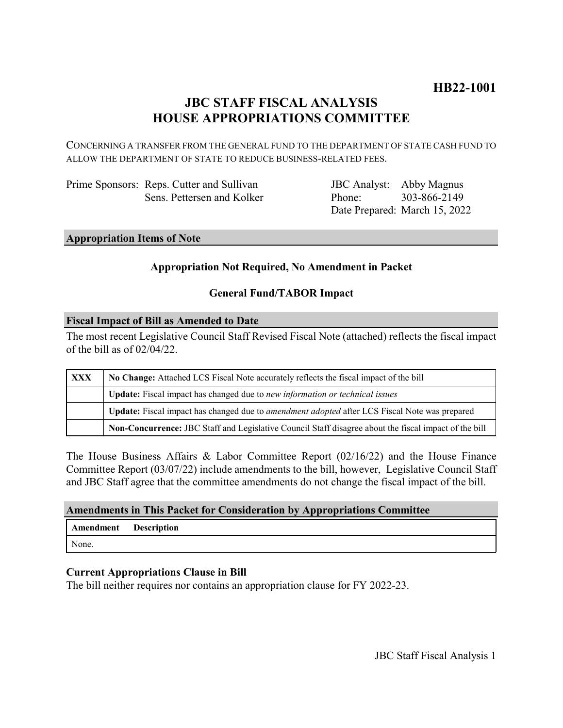# **JBC STAFF FISCAL ANALYSIS HOUSE APPROPRIATIONS COMMITTEE**

CONCERNING A TRANSFER FROM THE GENERAL FUND TO THE DEPARTMENT OF STATE CASH FUND TO ALLOW THE DEPARTMENT OF STATE TO REDUCE BUSINESS-RELATED FEES.

| Prime Sponsors: Reps. Cutter and Sullivan |
|-------------------------------------------|
| Sens. Pettersen and Kolker                |

JBC Analyst: Abby Magnus Phone: Date Prepared: March 15, 2022 303-866-2149

#### **Appropriation Items of Note**

# **Appropriation Not Required, No Amendment in Packet**

# **General Fund/TABOR Impact**

# **Fiscal Impact of Bill as Amended to Date**

The most recent Legislative Council Staff Revised Fiscal Note (attached) reflects the fiscal impact of the bill as of 02/04/22.

| <b>XXX</b> | No Change: Attached LCS Fiscal Note accurately reflects the fiscal impact of the bill                 |  |
|------------|-------------------------------------------------------------------------------------------------------|--|
|            | <b>Update:</b> Fiscal impact has changed due to new information or technical issues                   |  |
|            | Update: Fiscal impact has changed due to <i>amendment adopted</i> after LCS Fiscal Note was prepared  |  |
|            | Non-Concurrence: JBC Staff and Legislative Council Staff disagree about the fiscal impact of the bill |  |

The House Business Affairs & Labor Committee Report (02/16/22) and the House Finance Committee Report (03/07/22) include amendments to the bill, however, Legislative Council Staff and JBC Staff agree that the committee amendments do not change the fiscal impact of the bill.

# **Amendments in This Packet for Consideration by Appropriations Committee**

| <b>Amendment</b> Description |  |
|------------------------------|--|
| None.                        |  |

# **Current Appropriations Clause in Bill**

The bill neither requires nor contains an appropriation clause for FY 2022-23.